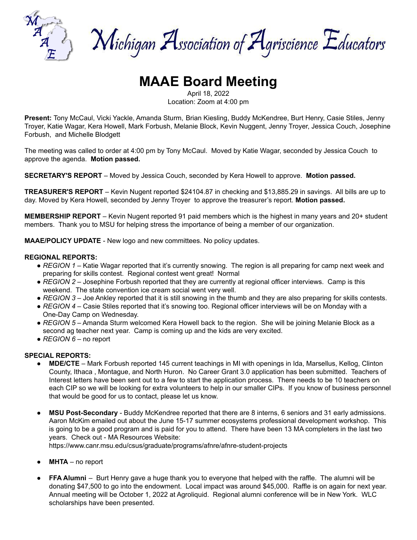

Michigan Association of Agriscience Educators

# **MAAE Board Meeting**

April 18, 2022

Location: Zoom at 4:00 pm

**Present:** Tony McCaul, Vicki Yackle, Amanda Sturm, Brian Kiesling, Buddy McKendree, Burt Henry, Casie Stiles, Jenny Troyer, Katie Wagar, Kera Howell, Mark Forbush, Melanie Block, Kevin Nuggent, Jenny Troyer, Jessica Couch, Josephine Forbush, and Michelle Blodgett

The meeting was called to order at 4:00 pm by Tony McCaul. Moved by Katie Wagar, seconded by Jessica Couch to approve the agenda. **Motion passed.**

**SECRETARY'S REPORT** – Moved by Jessica Couch, seconded by Kera Howell to approve. **Motion passed.**

**TREASURER'S REPORT** – Kevin Nugent reported \$24104.87 in checking and \$13,885.29 in savings. All bills are up to day. Moved by Kera Howell, seconded by Jenny Troyer to approve the treasurer's report. **Motion passed.**

**MEMBERSHIP REPORT** – Kevin Nugent reported 91 paid members which is the highest in many years and 20+ student members. Thank you to MSU for helping stress the importance of being a member of our organization.

**MAAE/POLICY UPDATE** - New logo and new committees. No policy updates.

#### **REGIONAL REPORTS:**

- *REGION 1* Katie Wagar reported that it's currently snowing. The region is all preparing for camp next week and preparing for skills contest. Regional contest went great! Normal
- *REGION* 2 Josephine Forbush reported that they are currently at regional officer interviews. Camp is this weekend. The state convention ice cream social went very well.
- *REGION* 3 Joe Ankley reported that it is still snowing in the thumb and they are also preparing for skills contests.
- *REGION 4* Casie Stiles reported that it's snowing too. Regional officer interviews will be on Monday with a One-Day Camp on Wednesday.
- *REGION 5* Amanda Sturm welcomed Kera Howell back to the region. She will be joining Melanie Block as a second ag teacher next year. Camp is coming up and the kids are very excited.
- *REGION 6* no report

#### **SPECIAL REPORTS:**

- **MDE/CTE** Mark Forbush reported 145 current teachings in MI with openings in Ida, Marsellus, Kellog, Clinton County, Ithaca , Montague, and North Huron. No Career Grant 3.0 application has been submitted. Teachers of Interest letters have been sent out to a few to start the application process. There needs to be 10 teachers on each CIP so we will be looking for extra volunteers to help in our smaller CIPs. If you know of business personnel that would be good for us to contact, please let us know.
- **MSU Post-Secondary** Buddy McKendree reported that there are 8 interns, 6 seniors and 31 early admissions. Aaron McKim emailed out about the June 15-17 summer ecosystems professional development workshop. This is going to be a good program and is paid for you to attend. There have been 13 MA completers in the last two years. Check out - MA Resources Website:

https://www.canr.msu.edu/csus/graduate/programs/afnre/afnre-student-projects

- **MHTA** no report
- **FFA Alumni** Burt Henry gave a huge thank you to everyone that helped with the raffle. The alumni will be donating \$47,500 to go into the endowment. Local impact was around \$45,000. Raffle is on again for next year. Annual meeting will be October 1, 2022 at Agroliquid. Regional alumni conference will be in New York. WLC scholarships have been presented.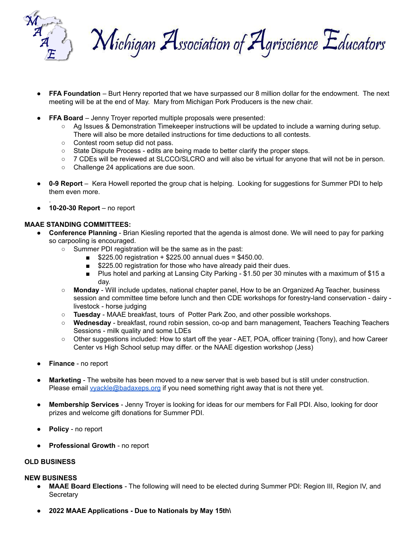

Michigan Association of Agriscience Educators

- **FFA Foundation** Burt Henry reported that we have surpassed our 8 million dollar for the endowment. The next meeting will be at the end of May. Mary from Michigan Pork Producers is the new chair.
- **FFA Board** Jenny Troyer reported multiple proposals were presented:
	- Ag Issues & Demonstration Timekeeper instructions will be updated to include a warning during setup. There will also be more detailed instructions for time deductions to all contests.
	- Contest room setup did not pass.
	- State Dispute Process edits are being made to better clarify the proper steps.
	- 7 CDEs will be reviewed at SLCCO/SLCRO and will also be virtual for anyone that will not be in person.
	- Challenge 24 applications are due soon.
- **0-9 Report** Kera Howell reported the group chat is helping. Looking for suggestions for Summer PDI to help them even more.
- **10-20-30 Report** no report

### **MAAE STANDING COMMITTEES:**

.

- **Conference Planning** Brian Kiesling reported that the agenda is almost done. We will need to pay for parking so carpooling is encouraged.
	- Summer PDI registration will be the same as in the past:
		- $\blacksquare$  \$225.00 registration + \$225.00 annual dues = \$450.00.
		- \$225.00 registration for those who have already paid their dues.
		- Plus hotel and parking at Lansing City Parking \$1.50 per 30 minutes with a maximum of \$15 a day.
	- **Monday** Will include updates, national chapter panel, How to be an Organized Ag Teacher, business session and committee time before lunch and then CDE workshops for forestry-land conservation - dairy livestock - horse judging
	- **Tuesday** MAAE breakfast, tours of Potter Park Zoo, and other possible workshops.
	- **Wednesday** breakfast, round robin session, co-op and barn management, Teachers Teaching Teachers Sessions - milk quality and some LDEs
	- Other suggestions included: How to start off the year AET, POA, officer training (Tony), and how Career Center vs High School setup may differ. or the NAAE digestion workshop (Jess)
- **Finance** no report
- **Marketing** The website has been moved to a new server that is web based but is still under construction. Please email *yyackle@badaxeps.org* if you need something right away that is not there yet.
- **Membership Services** Jenny Troyer is looking for ideas for our members for Fall PDI. Also, looking for door prizes and welcome gift donations for Summer PDI.
- Policy no report
- **Professional Growth** no report

### **OLD BUSINESS**

#### **NEW BUSINESS**

- **MAAE Board Elections** The following will need to be elected during Summer PDI: Region III, Region IV, and **Secretary**
- **● 2022 MAAE Applications - Due to Nationals by May 15th\**